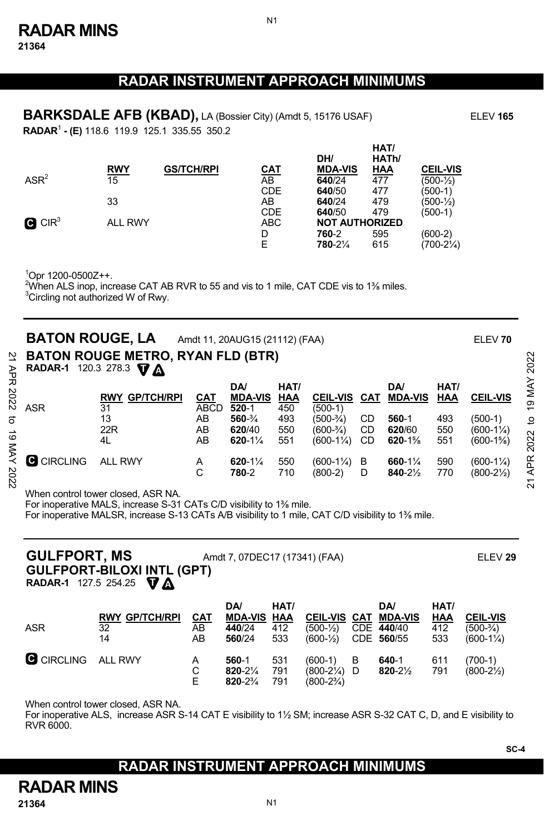**21364** 

### **RADAR INSTRUMENT APPROACH MINIMUMS**

N1

**BARKSDALE AFB (KBAD),** LA (Bossier City) (Amdt 5, 15176 USAF) ELEV 165 **RADAR**<sup>1</sup>  **- (E)** 118.6 119.9 125.1 335.55 350.2

**RWY GS/TCH/RPI CAT DH/ MDA-VIS HAT/ HATh/ HAA CEIL-VIS**  $ASR<sup>2</sup>$  15 AB **640**/24 477 (500-½) CDE **640**/50 477 (500-1) 33 AB **640**/24 479 (500-½) CDE **640**/50 479 (500-1)  $\mathbf G$  CIR<sup>3</sup> ALL RWY ABC **NOT AUTHORIZED** D **760**-2 595 (600-2) E **780**-2¼ 615 (700-2¼)

1 Opr 1200-0500Z++.

 $^{2}$ When ALS inop, increase CAT AB RVR to 55 and vis to 1 mile, CAT CDE vis to 1% miles.<br> $^{3}$ Circling pet outborized W of Busc <sup>3</sup>Circling not authorized W of Rwy.

| 2<br>AP<br>PR  | <b>BATON ROUGE, LA</b><br>RADAR-1 120.3 278.3 $\nabla \Delta$ | <b>BATON ROUGE METRO, RYAN FLD (BTR)</b>                 |                                             | Amdt 11, 20AUG15 (21112) (FAA)                                                            |                                                |                                                                          |                |                                                             |                                  | ELEV 70                                                             | 2022                                              |
|----------------|---------------------------------------------------------------|----------------------------------------------------------|---------------------------------------------|-------------------------------------------------------------------------------------------|------------------------------------------------|--------------------------------------------------------------------------|----------------|-------------------------------------------------------------|----------------------------------|---------------------------------------------------------------------|---------------------------------------------------|
| 2022<br>ನ<br>ಠ | <b>ASR</b>                                                    | <b>GP/TCH/RPI</b><br><b>RWY</b><br>31<br>13<br>22R<br>4L | <b>CAT</b><br><b>ABCD</b><br>AB<br>AB<br>AB | DA/<br><b>MDA-VIS</b><br>$520-1$<br>$560 - \frac{3}{4}$<br>620/40<br>$620 - 1\frac{1}{4}$ | HAT/<br><b>HAA</b><br>450<br>493<br>550<br>551 | <b>CEIL-VIS</b><br>(500-1)<br>(500-¾)<br>(600-¾)<br>$(600-1\frac{1}{4})$ | CD<br>CD<br>CD | DA/<br><b>CAT MDA-VIS</b><br>560-1<br>620/60<br>$620 - 1\%$ | HAT/<br>HAA<br>493<br>550<br>551 | <b>CEIL-VIS</b><br>$(500-1)$<br>$(600-1\frac{1}{4})$<br>$(600-1\%)$ | MAY<br>တ<br>$\overline{\phantom{0}}$<br>ೆ<br>2022 |
| ⋚<br>2022      | О<br><b>CIRCLING</b>                                          | <b>ALL RWY</b>                                           | A<br>C                                      | $620 - 1\%$<br>780-2                                                                      | 550<br>710                                     | $(600-1\frac{1}{4})$<br>(800-2)                                          | B<br>D         | $660 - 1\%$<br>840-21/2                                     | 590<br>770                       | $(600-1\frac{1}{4})$<br>$(800-2\frac{1}{2})$                        | APR<br>ম                                          |

When control tower closed, ASR NA.

For inoperative MALS, increase S-31 CATs C/D visibility to 1⅜ mile.

For inoperative MALSR, increase S-13 CATs A/B visibility to 1 mile, CAT C/D visibility to 1⅜ mile.

| <b>GULFPORT, MS</b><br>Amdt 7, 07DEC17 (17341) (FAA)<br><b>GULFPORT-BILOXI INTL (GPT)</b><br><b>RADAR-1</b> 127.5 254.25 $\nabla$ A |                                                |                        |                                                     |                    |                                             |   |                                                         |                                  |                                                        |
|-------------------------------------------------------------------------------------------------------------------------------------|------------------------------------------------|------------------------|-----------------------------------------------------|--------------------|---------------------------------------------|---|---------------------------------------------------------|----------------------------------|--------------------------------------------------------|
| <b>ASR</b>                                                                                                                          | <b>RWY GP/TCH/RPI</b><br>$\overline{32}$<br>14 | <u>CAT</u><br>AB<br>AB | <b>DA</b><br><b>MDA-VIS HAA</b><br>440/24<br>560/24 | HAT/<br>412<br>533 | <b>CEIL-VIS CAT</b><br>$(500-1)$<br>(600-½) |   | <b>DA</b><br><b>MDA-VIS</b><br>CDE 440/40<br>CDE 560/55 | HAT/<br><b>HAA</b><br>412<br>533 | <b>CEIL-VIS</b><br>$(500-3/4)$<br>$(600-1\frac{1}{4})$ |
| C CIRCLING ALL RWY                                                                                                                  |                                                | A                      | 560-1                                               | 531                | $(600-1)$                                   | B | 640-1                                                   | 611                              | $(700-1)$                                              |

When control tower closed, ASR NA.

For inoperative ALS, increase ASR S-14 CAT E visibility to 1½ SM; increase ASR S-32 CAT C, D, and E visibility to  $RVR$  6000.

 C **820**-2¼ 791 (800-2¼) D **820**-2½ 791 (800-2½) E **820**-2¾ 791 (800-2¾)

#### **RADAR INSTRUMENT APPROACH MINIMUMS**

**RADAR MINS**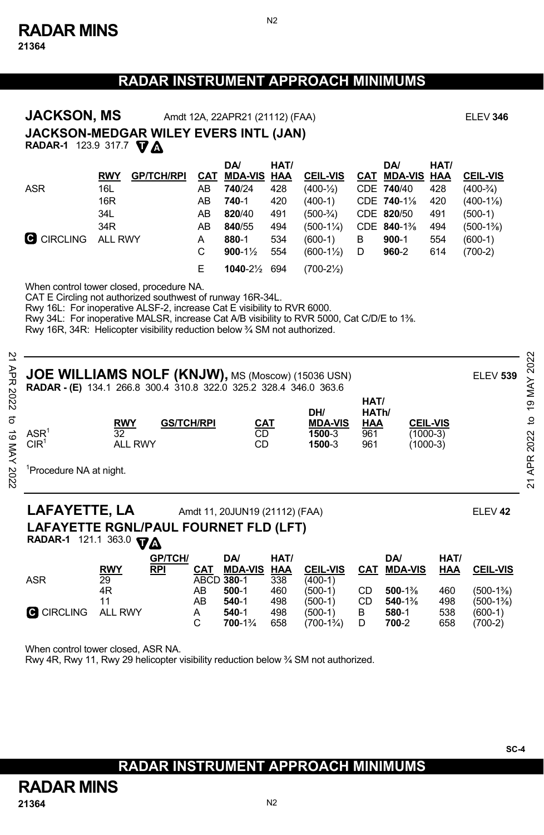N2

|               | <b>JACKSON, MS</b><br><b>JACKSON-MEDGAR WILEY EVERS INTL (JAN)</b><br>RADAR-1 123.9 317.7 VA                                                                                                                                                                                                                                                                                                                                                                                                                                                                                                                |                                                          |                              |                                       | Amdt 12A, 22APR21 (21112) (FAA)                                                                     |                                                       |                                                                                                                         |                    |                                                                                                         |                                                       | <b>ELEV 346</b>                                                                        |
|---------------|-------------------------------------------------------------------------------------------------------------------------------------------------------------------------------------------------------------------------------------------------------------------------------------------------------------------------------------------------------------------------------------------------------------------------------------------------------------------------------------------------------------------------------------------------------------------------------------------------------------|----------------------------------------------------------|------------------------------|---------------------------------------|-----------------------------------------------------------------------------------------------------|-------------------------------------------------------|-------------------------------------------------------------------------------------------------------------------------|--------------------|---------------------------------------------------------------------------------------------------------|-------------------------------------------------------|----------------------------------------------------------------------------------------|
|               | <b>ASR</b><br><b>C</b> CIRCLING                                                                                                                                                                                                                                                                                                                                                                                                                                                                                                                                                                             | <b>RWY</b><br>16L<br>16R<br>34L<br>34R<br><b>ALL RWY</b> | <b>GP/TCH/RPI</b>            | CAT<br>AB<br>AB<br>AB<br>AB<br>A<br>C | <b>DA</b><br><b>MDA-VIS</b><br>740/24<br>740-1<br>820/40<br>840/55<br>880-1<br>$900 - 1\frac{1}{2}$ | HAT/<br>HAA<br>428<br>420<br>491<br>494<br>534<br>554 | <b>CEIL-VIS</b><br>$(400-1/2)$<br>$(400-1)$<br>$(500-3/4)$<br>$(500-1\frac{1}{4})$<br>$(600-1)$<br>$(600-1\frac{1}{2})$ | В<br>D             | DA/<br><b>CAT MDA-VIS</b><br>CDE 740/40<br>CDE 740-1%<br>CDE 820/50<br>CDE 840-1%<br>$900 - 1$<br>960-2 | HAT/<br>HAA<br>428<br>420<br>491<br>494<br>554<br>614 | <b>CEIL-VIS</b><br>$(400-3/4)$<br>$(400-1\%)$<br>$(500-1)$<br>$(500-1\%)$<br>$(600-1)$ |
|               |                                                                                                                                                                                                                                                                                                                                                                                                                                                                                                                                                                                                             |                                                          |                              | E                                     | 1040-21/ <sub>2</sub> 694                                                                           |                                                       | $(700-2\frac{1}{2})$                                                                                                    |                    |                                                                                                         |                                                       | $(700-2)$                                                                              |
| APR 2022<br>ಠ | When control tower closed, procedure NA.<br>CAT E Circling not authorized southwest of runway 16R-34L.<br>Rwy 16L: For inoperative ALSF-2, increase Cat E visibility to RVR 6000.<br>Rwy 34L: For inoperative MALSR, increase Cat A/B visibility to RVR 5000, Cat C/D/E to 1%.<br>Rwy 16R, 34R: Helicopter visibility reduction below 3/4 SM not authorized.<br>JOE WILLIAMS NOLF (KNJW), MS (Moscow) (15036 USN)<br><b>RADAR - (E)</b> 134.1 266.8 300.4 310.8 322.0 325.2 328.4 346.0 363.6<br>HAT/<br>DH/<br>HATh/<br><b>RWY</b><br><b>CEIL-VIS</b><br><b>GS/TCH/RPI</b><br>CAT<br><b>MDA-VIS</b><br>HAA |                                                          |                              |                                       |                                                                                                     |                                                       |                                                                                                                         |                    | 19 MAY 2022<br>ELEV 539<br>$\overline{c}$                                                               |                                                       |                                                                                        |
|               | ASR <sup>1</sup><br>CIR <sup>1</sup>                                                                                                                                                                                                                                                                                                                                                                                                                                                                                                                                                                        | 32                                                       | <b>ALL RWY</b>               |                                       | CD<br>CD                                                                                            |                                                       | 1500-3<br>1500-3                                                                                                        | 961<br>961         |                                                                                                         | $(1000-3)$<br>$(1000-3)$                              | 2022                                                                                   |
| 19 MAY 202    | <sup>1</sup> Procedure NA at night.                                                                                                                                                                                                                                                                                                                                                                                                                                                                                                                                                                         |                                                          |                              |                                       |                                                                                                     |                                                       |                                                                                                                         |                    |                                                                                                         |                                                       | APR:<br>21                                                                             |
|               | <b>LAFAYETTE, LA</b><br>LAFAYETTE RGNL/PAUL FOURNET FLD (LFT)<br>RADAR-1 121.1 363.0 VA                                                                                                                                                                                                                                                                                                                                                                                                                                                                                                                     |                                                          |                              |                                       | Amdt 11, 20JUN19 (21112) (FAA)                                                                      |                                                       |                                                                                                                         |                    |                                                                                                         |                                                       | ELEV <sub>42</sub>                                                                     |
|               |                                                                                                                                                                                                                                                                                                                                                                                                                                                                                                                                                                                                             | <b>RWY</b>                                               | <b>GP/TCH/</b><br><b>RPI</b> | <b>CAT</b>                            | DA/<br><b>MDA-VIS</b>                                                                               | HAT/<br><b>HAA</b>                                    | <b>CEIL-VIS</b>                                                                                                         | CAT                | <b>DA</b><br><b>MDA-VIS</b>                                                                             | HAT/<br><b>HAA</b>                                    | <b>CEIL-VIS</b>                                                                        |
|               | <b>ASR</b>                                                                                                                                                                                                                                                                                                                                                                                                                                                                                                                                                                                                  | 29                                                       |                              |                                       | ABCD 380-1                                                                                          | 338                                                   | $(400-1)$                                                                                                               |                    |                                                                                                         |                                                       |                                                                                        |
|               | <b>G</b> CIRCLING                                                                                                                                                                                                                                                                                                                                                                                                                                                                                                                                                                                           | 4R<br>11<br><b>ALL RWY</b>                               |                              | AB<br>AB<br>A<br>C                    | $500-1$<br>540-1<br>540-1<br>700-1%                                                                 | 460<br>498<br>498<br>658                              | $(500-1)$<br>(500-1)<br>$(500-1)$<br>$(700-1\frac{3}{4})$                                                               | CD<br>CD<br>В<br>D | 500-1%<br>540-1%<br>580-1<br>700-2                                                                      | 460<br>498<br>538<br>658                              | $(500-1\%)$<br>$(500-1\%)$<br>$(600-1)$<br>$(700-2)$                                   |

When control tower closed, ASR NA.

Rwy 4R, Rwy 11, Rwy 29 helicopter visibility reduction below ¾ SM not authorized.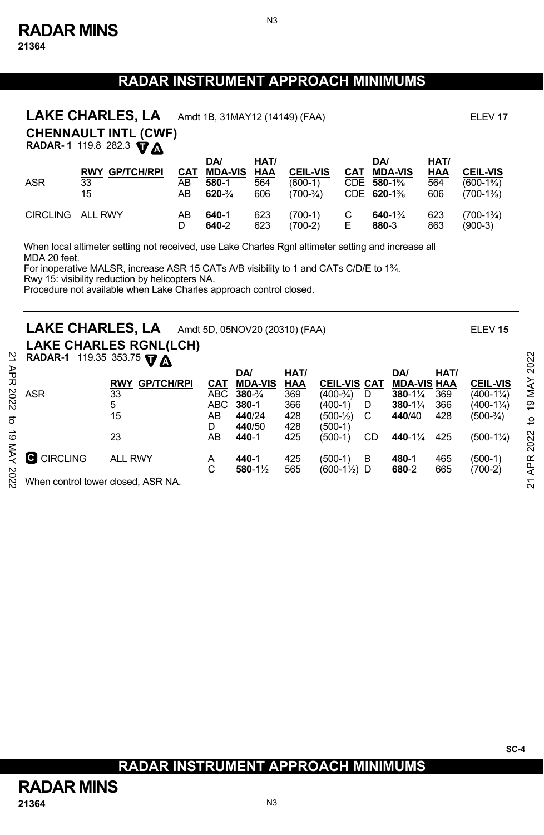N3

|                  | LAKE CHARLES, LA                                             | Amdt 1B, 31MAY12 (14149) (FAA) | ELEV <sub>17</sub>                                          |                                  |                                             |     |                                                         |                           |                                              |  |  |  |
|------------------|--------------------------------------------------------------|--------------------------------|-------------------------------------------------------------|----------------------------------|---------------------------------------------|-----|---------------------------------------------------------|---------------------------|----------------------------------------------|--|--|--|
|                  | <b>CHENNAULT INTL (CWF)</b><br>RADAR-1 119.8 282.3 <b>VA</b> |                                |                                                             |                                  |                                             |     |                                                         |                           |                                              |  |  |  |
| <b>ASR</b>       | <b>RWY GP/TCH/RPI</b><br>33<br>15                            | CAT<br>AB<br>AB                | <b>DA</b><br><b>MDA-VIS</b><br>580-1<br>$620 - \frac{3}{4}$ | HAT/<br><u>HAA</u><br>564<br>606 | <b>CEIL-VIS</b><br>$(600-1)$<br>$(700-3/4)$ | CAT | <b>DA</b><br><b>MDA-VIS</b><br>CDE 580-1%<br>CDE 620-1% | HAT/<br>HAA<br>564<br>606 | <b>CEIL-VIS</b><br>$(600-1\%)$<br>$(700-1%)$ |  |  |  |
| CIRCLING ALL RWY |                                                              | AB                             | 640-1                                                       | 623                              | $(700-1)$                                   | С   | $640 - 1\%$                                             | 623                       | $(700-1\%)$                                  |  |  |  |

D **640**-2 623 (700-2) E **880**-3 863 (900-3)

When local altimeter setting not received, use Lake Charles Rgnl altimeter setting and increase all MDA 20 feet.

For inoperative MALSR, increase ASR 15 CATs A/B visibility to 1 and CATs C/D/E to 1<sup>3</sup>/<sub>4</sub>.

Rwy 15: visibility reduction by helicopters NA.

Procedure not available when Lake Charles approach control closed.

## **LAKE CHARLES, LA** Amdt 5D, 05NOV20 (20310) (FAA) ELEV **<sup>15</sup>**

**LAKE CHARLES RGNL (LCH)** 

| RADAR-1 119.35 353.75 $\nabla \Delta$ |  |  |  |  |
|---------------------------------------|--|--|--|--|
|---------------------------------------|--|--|--|--|

|      | <b>RADAR-1</b> 119.35 353.75 $\nabla \Delta$ |                                    |       |                     |      |                        |    |                      |      |                 | 2022   |
|------|----------------------------------------------|------------------------------------|-------|---------------------|------|------------------------|----|----------------------|------|-----------------|--------|
| 굲    |                                              |                                    |       | DA/                 | HAT/ |                        |    | <b>DA</b>            | HAT/ |                 |        |
|      |                                              | <b>GP/TCH/RPI</b><br><b>RWY</b>    | CAT   | <b>MDA-VIS</b>      | HAA  | <b>CEIL-VIS CAT</b>    |    | <b>MDA-VIS HAA</b>   |      | <b>CEIL-VIS</b> |        |
| 2022 | <b>ASR</b>                                   | 33                                 | ABC . | $380 - \frac{3}{4}$ | 369  | (400-¾)                | D  | $380 - 1\frac{1}{4}$ | 369  | (400-1¼)        | MAY    |
|      |                                              | 5                                  | ABC.  | $380 - 1$           | 366  | (400-1)                | D  | $380 - 1\frac{1}{4}$ | 366  | (400-1¼)        | e,     |
|      |                                              | 15                                 | AB    | 440/24              | 428  | (500-½)                |    | 440/40               | 428  | (500-¾)         | ₫      |
|      |                                              |                                    | D     | 440/50              | 428  | (500-1)                |    |                      |      |                 |        |
| ಕ    |                                              | 23                                 | AB    | 440-1               | 425  | (500-1)                | CD | 440-1%               | 425  | $(500-1\%)$     | 022    |
|      |                                              |                                    |       |                     |      |                        |    |                      |      |                 | $\sim$ |
|      | C CIRCLING                                   | <b>ALL RWY</b>                     | A     | 440-1               | 425  | (500-1)                | в  | 480-1                | 465  | (500-1)         | ≃      |
|      |                                              |                                    | C     | 580-1½              | 565  | $(600-1\frac{1}{2})$ D |    | 680-2                | 665  | $(700-2)$       | ą      |
| 2022 |                                              | When control tower closed, ASR NA. |       |                     |      |                        |    |                      |      |                 | ম      |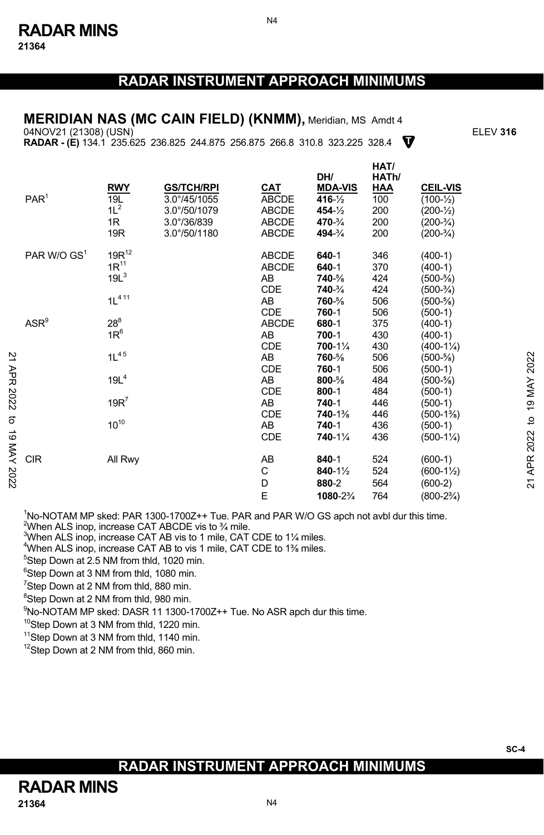N4

#### **MERIDIAN NAS (MC CAIN FIELD) (KNMM),** Meridian, MS Amdt 4

**T** 04NOV21 (21308) (USN) ELEV **316 RADAR - (E)** 134.1 235.625 236.825 244.875 256.875 266.8 310.8 323.225 328.4

|             | PAR <sup>1</sup>        | <b>RWY</b><br>19L<br>$1L^2$<br>1R<br>19R    | <b>GS/TCH/RPI</b><br>$3.0^{\circ}/45/1055$<br>3.0°/50/1079<br>$3.0^{\circ}/36/839$<br>3.0°/50/1180 | CAT<br><b>ABCDE</b><br><b>ABCDE</b><br><b>ABCDE</b><br><b>ABCDE</b> | DH/<br><b>MDA-VIS</b><br>$416 - \frac{1}{2}$<br>$454 - 1/2$<br>470-3/4<br>494-3/4 | HAI/<br>HATh/<br><b>HAA</b><br>100<br>200<br>200<br>200 | <b>CEIL-VIS</b><br>$(100 - \frac{1}{2})$<br>$(200 - \frac{1}{2})$<br>$(200-3/4)$<br>$(200-3/4)$ |                |
|-------------|-------------------------|---------------------------------------------|----------------------------------------------------------------------------------------------------|---------------------------------------------------------------------|-----------------------------------------------------------------------------------|---------------------------------------------------------|-------------------------------------------------------------------------------------------------|----------------|
|             | PAR W/O GS <sup>1</sup> | $19R^{12}$<br>$1R^{11}$<br>19L <sup>3</sup> |                                                                                                    | <b>ABCDE</b><br><b>ABCDE</b><br>AB                                  | $640 - 1$<br>$640 - 1$<br>740-%                                                   | 346<br>370<br>424                                       | $(400-1)$<br>$(400-1)$<br>$(500 - \frac{5}{8})$                                                 |                |
|             |                         | $1L^{411}$                                  |                                                                                                    | <b>CDE</b><br>AB<br>CDE                                             | 740-3/4<br>760-%<br>760-1                                                         | 424<br>506<br>506                                       | $(500-3/4)$<br>$(500 - \frac{5}{8})$<br>$(500-1)$                                               |                |
|             | $ASR^9$                 | $28^8$<br>$1R^6$                            |                                                                                                    | <b>ABCDE</b><br>AB<br><b>CDE</b>                                    | 680-1<br>700-1<br>700-11/4                                                        | 375<br>430<br>430                                       | $(400-1)$<br>$(400-1)$<br>$(400-1\frac{1}{4})$                                                  |                |
|             |                         | $1L^{45}$                                   |                                                                                                    | AB<br><b>CDE</b>                                                    | 760-%<br>760-1                                                                    | 506<br>506                                              | $(500 - \frac{5}{8})$<br>$(500-1)$                                                              | 2022           |
| APR 2022    |                         | 19L <sup>4</sup><br>$19R^7$                 |                                                                                                    | AB<br><b>CDE</b><br>AB                                              | $800 - \%$<br>$800 - 1$<br>740-1                                                  | 484<br>484<br>446                                       | $(500 - \frac{5}{8})$<br>$(500-1)$<br>$(500-1)$                                                 | 19 MAY         |
| ಕ           |                         | $10^{10}$                                   |                                                                                                    | <b>CDE</b><br>AB                                                    | 740-1%<br>740-1                                                                   | 446<br>436                                              | $(500-1\%)$<br>$(500-1)$                                                                        | $\overline{a}$ |
|             |                         |                                             |                                                                                                    | <b>CDE</b>                                                          | 740-11/4                                                                          | 436                                                     | $(500-1\frac{1}{4})$                                                                            | 2022           |
| 2202 AVM 61 | <b>CIR</b>              | All Rwy                                     |                                                                                                    | AB<br>C<br>D                                                        | $840 - 1$<br>840-1½<br>880-2                                                      | 524<br>524<br>564                                       | $(600-1)$<br>$(600-1\frac{1}{2})$<br>$(600-2)$                                                  | APR.<br>21     |
|             |                         |                                             |                                                                                                    | E                                                                   | 1080-2%                                                                           | 764                                                     | $(800-2\frac{3}{4})$                                                                            |                |

<sup>1</sup>No-NOTAM MP sked: PAR 1300-1700Z++ Tue. PAR and PAR W/O GS apch not avbl dur this time.<br><sup>2</sup>Mbon ALS incn increase CAT ARCDE vis to 3<sup>/</sup> milo

When ALS inop, increase CAT ABCDE vis to 34 mile.

<sup>3</sup>When ALS inop, increase CAT AB vis to 1 mile, CAT CDE to 11/4 miles.

<sup>4</sup>When ALS inop, increase CAT AB to vis 1 mile, CAT CDE to 1% miles.<br><sup>5</sup>Step Down at 2.5 NM from thid. 1020 min

<sup>5</sup>Step Down at 2.5 NM from thld, 1020 min.

6 Step Down at 3 NM from thld, 1080 min.

<sup>7</sup>Step Down at 2 NM from thld, 880 min.

<sup>8</sup>Step Down at 2 NM from thld, 980 min.

<sup>9</sup>No-NOTAM MP sked: DASR 11 1300-1700Z++ Tue. No ASR apch dur this time.<br><sup>10</sup>Step Down at 3 NM from thld, 1220 min.

<sup>11</sup>Step Down at 3 NM from thld, 1140 min.

<sup>12</sup>Step Down at 2 NM from thld, 860 min.

# **RADAR INSTRUMENT APPROACH MINIMUMS**

**H**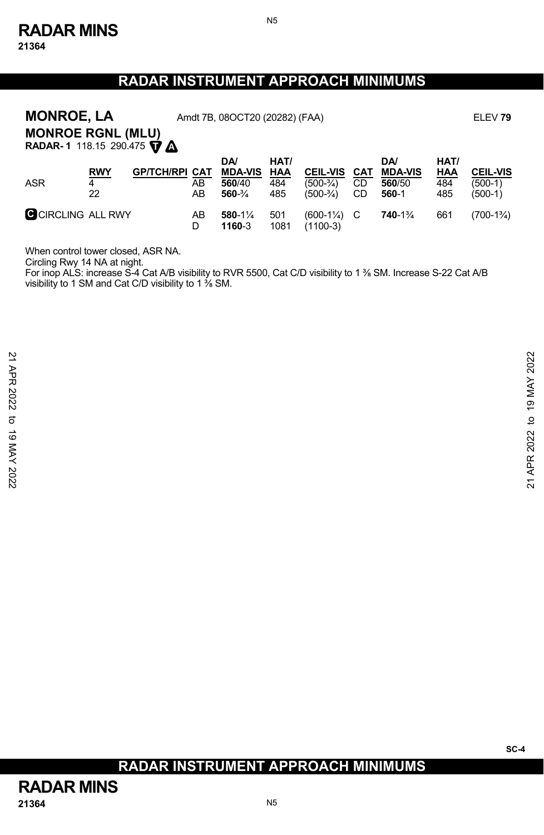**21364** 

# **RADAR INSTRUMENT APPROACH MINIMUMS**

N5

| <b>MONROE, LA</b><br>Amdt 7B, 08OCT20 (20282) (FAA)<br>ELEV <sub>79</sub><br><b>MONROE RGNL (MLU)</b><br>RADAR-1 118.15 290.475 TA |                       |                       |          |                                                        |                           |                                               |                 |                                                |                                  |                                         |
|------------------------------------------------------------------------------------------------------------------------------------|-----------------------|-----------------------|----------|--------------------------------------------------------|---------------------------|-----------------------------------------------|-----------------|------------------------------------------------|----------------------------------|-----------------------------------------|
| <b>ASR</b>                                                                                                                         | <b>RWY</b><br>4<br>22 | <b>GP/TCH/RPI CAT</b> | AВ<br>AB | DA/<br><b>MDA-VIS</b><br>560/40<br>$560 - \frac{3}{4}$ | HAT/<br>HAA<br>484<br>485 | <b>CEIL-VIS</b><br>$(500-3/4)$<br>$(500-3/4)$ | CAT<br>CD<br>CD | <b>DA</b><br><b>MDA-VIS</b><br>560/50<br>560-1 | HAT/<br><u>HAA</u><br>484<br>485 | <b>CEIL-VIS</b><br>$(500-1)$<br>(500-1) |
| C CIRCLING ALL RWY                                                                                                                 |                       |                       | AB<br>D  | 580-1%<br>1160-3                                       | 501<br>1081               | $(600-1\frac{1}{4})$<br>$(1100-3)$            | C               | 740-1%                                         | 661                              | $(700-1\%)$                             |

When control tower closed, ASR NA.

Circling Rwy 14 NA at night.<br>For inop ALS: increase S-4 Cat A/B visibility to RVR 5500, Cat C/D visibility to 1 ⅔ SM. Increase S-22 Cat A/B<br>visibility to 1 SM and Cat C/D visibility to 1 ⅔ SM.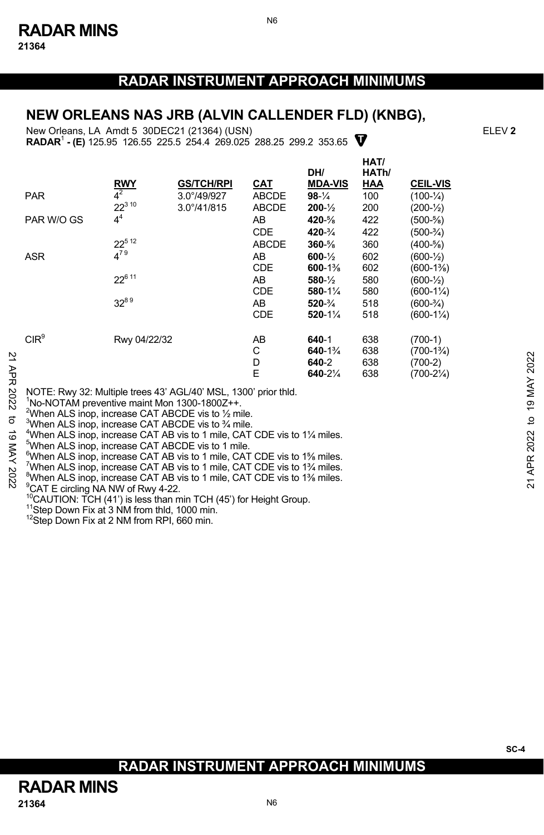N6

#### **NEW ORLEANS NAS JRB (ALVIN CALLENDER FLD) (KNBG),**

**RADAR<sup>1</sup> - (E)** 125.95 126.55 225.5 254.4 269.025 288.25 299.2 353.65 **V** New Orleans, LA Amdt 5 30DEC21 (21364) (USN) ELEV **2**

|           |                                                                                                                                                                                                                |                        | <b>GS/TCH/RPI</b>    |                            | DH/<br><b>MDA-VIS</b> | HAT/<br>HATh/     | <b>CEIL-VIS</b>                   |                    |
|-----------|----------------------------------------------------------------------------------------------------------------------------------------------------------------------------------------------------------------|------------------------|----------------------|----------------------------|-----------------------|-------------------|-----------------------------------|--------------------|
|           | <b>PAR</b>                                                                                                                                                                                                     | <b>RWY</b><br>$4^2$    | $3.0^{\circ}/49/927$ | <u>CAT</u><br><b>ABCDE</b> | $98-1/4$              | <b>HAA</b><br>100 | $(100 - \frac{1}{4})$             |                    |
|           |                                                                                                                                                                                                                | $22^{310}$             | $3.0^{\circ}/41/815$ | <b>ABCDE</b>               | $200 - \frac{1}{2}$   | 200               | $(200-1/2)$                       |                    |
|           | PAR W/O GS                                                                                                                                                                                                     | 4 <sup>4</sup>         |                      | AB                         | 420-%                 | 422               | $(500 - \frac{5}{8})$             |                    |
|           |                                                                                                                                                                                                                |                        |                      | <b>CDE</b>                 | $420 - \frac{3}{4}$   | 422               | $(500-3/4)$                       |                    |
|           |                                                                                                                                                                                                                | $22^{5}$ <sup>12</sup> |                      | ABCDE                      | $360 - \%$            | 360               | $(400-5/8)$                       |                    |
|           | <b>ASR</b>                                                                                                                                                                                                     | $4^{79}$               |                      | AB                         | $600 - \frac{1}{2}$   | 602               | $(600-1/2)$                       |                    |
|           |                                                                                                                                                                                                                |                        |                      | CDE                        | $600 - 1\%$           | 602               | $(600-1\%)$                       |                    |
|           |                                                                                                                                                                                                                | $22^{611}$             |                      | AB                         | $580 - \frac{1}{2}$   | 580               | $(600-1/2)$                       |                    |
|           |                                                                                                                                                                                                                |                        |                      | <b>CDE</b>                 | $580 - 1\frac{1}{4}$  | 580               | $(600-1\frac{1}{4})$              |                    |
|           |                                                                                                                                                                                                                | $32^{89}$              |                      | AB                         | $520 - \frac{3}{4}$   | 518               | $(600-3/4)$                       |                    |
|           |                                                                                                                                                                                                                |                        |                      | <b>CDE</b>                 | $520 - 1\%$           | 518               | $(600-1\frac{1}{4})$              |                    |
|           | CIR <sup>9</sup>                                                                                                                                                                                               |                        |                      |                            |                       |                   |                                   |                    |
|           |                                                                                                                                                                                                                | Rwy 04/22/32           |                      | AB<br>С                    | 640-1<br>640-1%       | 638<br>638        | $(700-1)$<br>$(700-1\frac{3}{4})$ |                    |
|           |                                                                                                                                                                                                                |                        |                      | D                          | 640-2                 | 638               | $(700-2)$                         | 2022               |
| 21 APR    |                                                                                                                                                                                                                |                        |                      | E                          | 640-21/4              | 638               | $(700-2\frac{1}{4})$              |                    |
|           |                                                                                                                                                                                                                |                        |                      |                            |                       |                   |                                   | MAY                |
| 2022<br>ಕ | NOTE: Rwy 32: Multiple trees 43' AGL/40' MSL, 1300' prior thid.<br>No-NOTAM preventive maint Mon 1300-1800Z++.<br><sup>2</sup> When ALS inop, increase CAT ABCDE vis to 1/2 mile.                              |                        |                      |                            |                       |                   |                                   | $\frac{9}{2}$<br>đ |
| ಠ         | <sup>3</sup> When ALS inop, increase CAT ABCDE vis to <sup>3</sup> / <sub>4</sub> mile.<br><sup>4</sup> When ALS inop, increase CAT AB vis to 1 mile, CAT CDE vis to 11/4 miles.                               |                        |                      |                            |                       |                   |                                   |                    |
|           | <sup>5</sup> When ALS inop, increase CAT ABCDE vis to 1 mile.                                                                                                                                                  |                        |                      |                            |                       |                   |                                   | 2022               |
| XAN       | <sup>6</sup> When ALS inop, increase CAT AB vis to 1 mile, CAT CDE vis to 1% miles.                                                                                                                            |                        |                      |                            |                       |                   |                                   |                    |
|           | <sup>7</sup> When ALS inop, increase CAT AB vis to 1 mile, CAT CDE vis to 1 <sup>3</sup> /4 miles.                                                                                                             |                        |                      |                            |                       |                   |                                   | <b>APR</b>         |
| 202<br>N  | "When ALS inop, increase CAT AB vis to 1 mile, CAT CDE vis to 1% miles.<br>$9$ $0.1$ $\Gamma$ $5$ $5$ $\mu$ <sup>3</sup> $\mu$ $\lambda$ $\mu$ $\lambda$ $\mu$ $\lambda$ $\mu$ $\lambda$ $\mu$ $\lambda$ $\mu$ |                        |                      |                            |                       |                   |                                   | $\overline{z}$     |
|           |                                                                                                                                                                                                                |                        |                      |                            |                       |                   |                                   |                    |

<sup>9</sup>CAT E circling NA NW of Rwy 4-22.

<sup>10</sup>CAUTION: TCH (41') is less than min TCH (45') for Height Group.<br><sup>11</sup>Step Down Fix at 3 NM from thld, 1000 min.<br><sup>12</sup>Step Down Fix at 2 NM from RPI, 660 min.